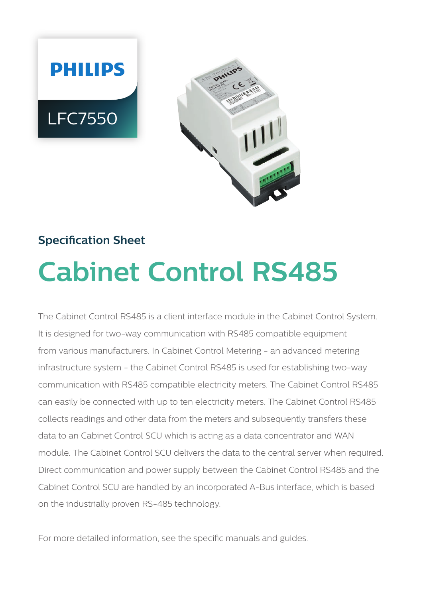



# **Specification Sheet Cabinet Control RS485**

The Cabinet Control RS485 is a client interface module in the Cabinet Control System. It is designed for two-way communication with RS485 compatible equipment from various manufacturers. In Cabinet Control Metering - an advanced metering infrastructure system - the Cabinet Control RS485 is used for establishing two-way communication with RS485 compatible electricity meters. The Cabinet Control RS485 can easily be connected with up to ten electricity meters. The Cabinet Control RS485 collects readings and other data from the meters and subsequently transfers these data to an Cabinet Control SCU which is acting as a data concentrator and WAN module. The Cabinet Control SCU delivers the data to the central server when required. Direct communication and power supply between the Cabinet Control RS485 and the Cabinet Control SCU are handled by an incorporated A-Bus interface, which is based on the industrially proven RS-485 technology.

For more detailed information, see the specific manuals and guides.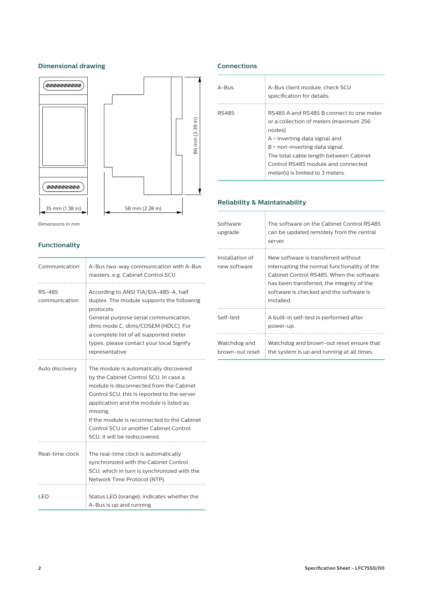### **Dimensional drawing**



Dimensions in mm

# **Functionality**

| Communication           | A-Bus two-way communication with A-Bus<br>masters, e.g. Cabinet Control SCU.                                                                                                                                                                                                                                                                               |  |  |
|-------------------------|------------------------------------------------------------------------------------------------------------------------------------------------------------------------------------------------------------------------------------------------------------------------------------------------------------------------------------------------------------|--|--|
| RS-485<br>communication | According to ANSI TIA/EIA-485-A, half<br>duplex. The module supports the following<br>protocols:<br>General purpose serial communication,<br>dlms mode C, dlms/COSEM (HDLC). For<br>a complete list of all supported meter<br>types, please contact your local Signify<br>representative.                                                                  |  |  |
| Auto discovery          | The module is automatically discovered<br>by the Cabinet Control SCU. In case a<br>module is disconnected from the Cabinet<br>Control SCU, this is reported to the server<br>application and the module is listed as<br>missing.<br>If the module is reconnected to the Cabinet<br>Control SCU or another Cabinet Control<br>SCU, it will be rediscovered. |  |  |
| Real-time clock         | The real-time clock is automatically<br>synchronized with the Cabinet Control<br>SCU, which in turn is synchronized with the<br>Network Time Protocol (NTP).                                                                                                                                                                                               |  |  |
| LED                     | Status LED (orange): indicates whether the<br>A-Bus is up and running.                                                                                                                                                                                                                                                                                     |  |  |

# **Connections**

| $A - B \cup S$ | A-Bus client module, check SCU<br>specification for details.                                                                                                                                                                                                                           |
|----------------|----------------------------------------------------------------------------------------------------------------------------------------------------------------------------------------------------------------------------------------------------------------------------------------|
| RS485          | RS485 A and RS485 B connect to one meter<br>or a collection of meters (maximum 256<br>nodes).<br>$A =$ Inverting data signal and<br>B = non-inverting data signal.<br>The total cable length between Cabinet<br>Control RS485 module and connected<br>meter(s) is limited to 3 meters. |

# **Reliability & Maintainability**

| Software<br>upgrade             | The software on the Cabinet Control RS485<br>can be updated remotely from the central<br>server.                                                                                                                                       |
|---------------------------------|----------------------------------------------------------------------------------------------------------------------------------------------------------------------------------------------------------------------------------------|
| Installation of<br>new software | New software is transferred without<br>interrupting the normal functionality of the<br>Cabinet Control RS485. When the software<br>has been transferred, the integrity of the<br>software is checked and the software is<br>installed. |
| Self-test                       | A built-in self-test is performed after<br>power-up.                                                                                                                                                                                   |
| Watchdog and<br>brown-out reset | Watchdog and brown-out reset ensure that<br>the system is up and running at all times.                                                                                                                                                 |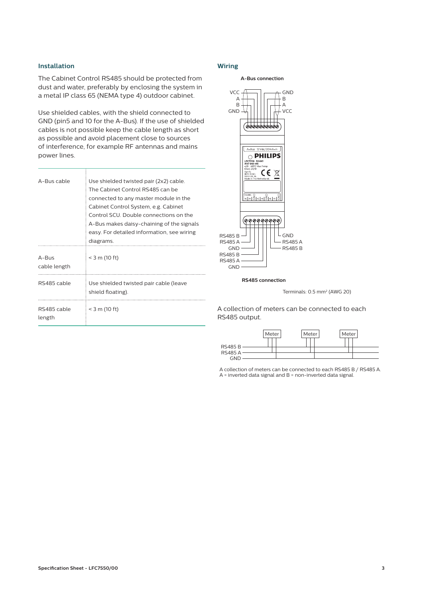#### **Installation**

The Cabinet Control RS485 should be protected from dust and water, preferably by enclosing the system in a metal IP class 65 (NEMA type 4) outdoor cabinet.

Use shielded cables, with the shield connected to GND (pin5 and 10 for the A-Bus). If the use of shielded cables is not possible keep the cable length as short as possible and avoid placement close to sources of interference, for example RF antennas and mains power lines.

| A-Bus cable                    | Use shielded twisted pair (2x2) cable.<br>The Cabinet Control RS485 can be<br>connected to any master module in the<br>Cabinet Control System, e.g. Cabinet<br>Control SCU. Double connections on the<br>A-Bus makes daisy-chaining of the signals<br>easy. For detailed information, see wiring<br>diagrams. |
|--------------------------------|---------------------------------------------------------------------------------------------------------------------------------------------------------------------------------------------------------------------------------------------------------------------------------------------------------------|
| $A - B \cup S$<br>cable length | $<$ 3 m (10 ft)                                                                                                                                                                                                                                                                                               |
| RS485 cable                    | Use shielded twisted pair cable (leave<br>shield floating).                                                                                                                                                                                                                                                   |
| RS485 cable<br>length          | $<$ 3 m (10 ft)                                                                                                                                                                                                                                                                                               |

#### **Wiring**



**RS485 connection**



A collection of meters can be connected to each RS485 output.



A collection of meters can be connected to each RS485 B / RS485 A. A = inverted data signal and B = non-inverted data signal.